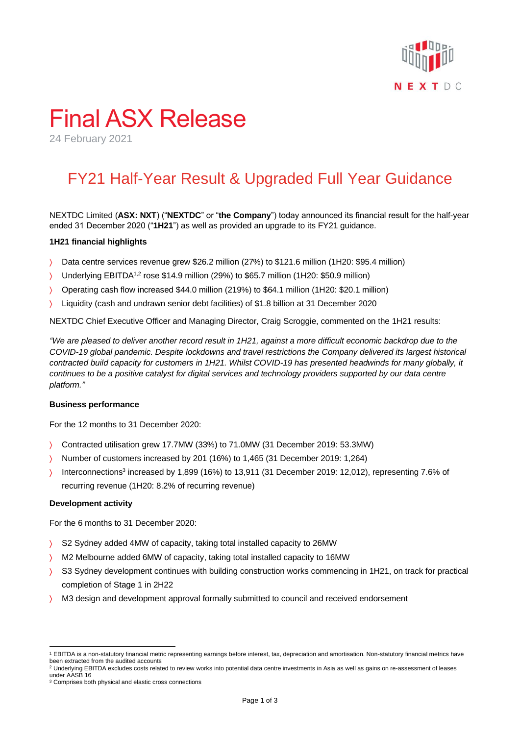

# Final ASX Release

24 February 2021

## FY21 Half-Year Result & Upgraded Full Year Guidance

NEXTDC Limited (**ASX: NXT**) ("**NEXTDC**" or "**the Company**") today announced its financial result for the half-year ended 31 December 2020 ("**1H21**") as well as provided an upgrade to its FY21 guidance.

#### **1H21 financial highlights**

- Data centre services revenue grew \$26.2 million (27%) to \$121.6 million (1H20: \$95.4 million)
- Y Underlying EBITDA<sup>1,2</sup> rose \$14.9 million (29%) to \$65.7 million (1H20: \$50.9 million)
- Operating cash flow increased \$44.0 million (219%) to \$64.1 million (1H20: \$20.1 million)
- Liquidity (cash and undrawn senior debt facilities) of \$1.8 billion at 31 December 2020

NEXTDC Chief Executive Officer and Managing Director, Craig Scroggie, commented on the 1H21 results:

*"We are pleased to deliver another record result in 1H21, against a more difficult economic backdrop due to the COVID-19 global pandemic. Despite lockdowns and travel restrictions the Company delivered its largest historical contracted build capacity for customers in 1H21. Whilst COVID-19 has presented headwinds for many globally, it continues to be a positive catalyst for digital services and technology providers supported by our data centre platform."*

#### **Business performance**

For the 12 months to 31 December 2020:

- Contracted utilisation grew 17.7MW (33%) to 71.0MW (31 December 2019: 53.3MW)
- Number of customers increased by 201 (16%) to 1,465 (31 December 2019: 1,264)
- Interconnections<sup>3</sup> increased by 1,899 (16%) to 13,911 (31 December 2019: 12,012), representing 7.6% of recurring revenue (1H20: 8.2% of recurring revenue)

#### **Development activity**

For the 6 months to 31 December 2020:

- S2 Sydney added 4MW of capacity, taking total installed capacity to 26MW
- M2 Melbourne added 6MW of capacity, taking total installed capacity to 16MW
- S3 Sydney development continues with building construction works commencing in 1H21, on track for practical completion of Stage 1 in 2H22
- M3 design and development approval formally submitted to council and received endorsement

<sup>1</sup> EBITDA is a non-statutory financial metric representing earnings before interest, tax, depreciation and amortisation. Non-statutory financial metrics have been extracted from the audited accounts

<sup>&</sup>lt;sup>2</sup> Underlying EBITDA excludes costs related to review works into potential data centre investments in Asia as well as gains on re-assessment of leases under AASB 16

<sup>&</sup>lt;sup>3</sup> Comprises both physical and elastic cross connections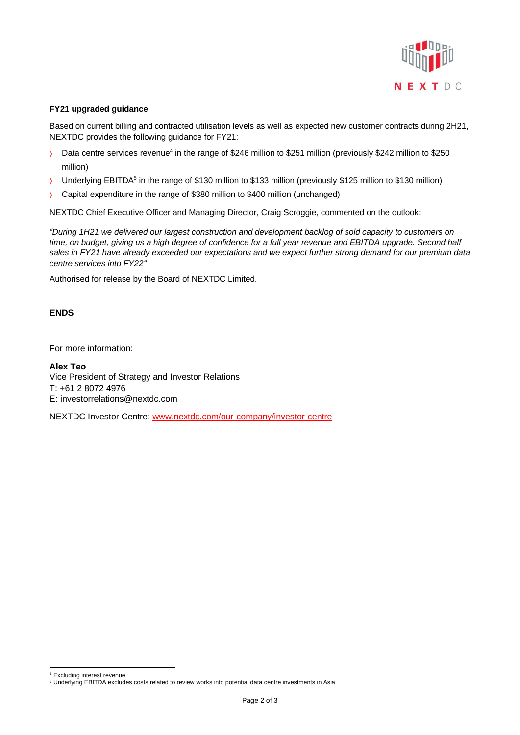

#### **FY21 upgraded guidance**

Based on current billing and contracted utilisation levels as well as expected new customer contracts during 2H21, NEXTDC provides the following guidance for FY21:

- $\geq$  Data centre services revenue<sup>4</sup> in the range of \$246 million to \$251 million (previously \$242 million to \$250 million)
- Inderlying EBITDA<sup>5</sup> in the range of \$130 million to \$133 million (previously \$125 million to \$130 million)
- Capital expenditure in the range of \$380 million to \$400 million (unchanged)

NEXTDC Chief Executive Officer and Managing Director, Craig Scroggie, commented on the outlook:

*"During 1H21 we delivered our largest construction and development backlog of sold capacity to customers on time, on budget, giving us a high degree of confidence for a full year revenue and EBITDA upgrade. Second half sales in FY21 have already exceeded our expectations and we expect further strong demand for our premium data centre services into FY22"*

Authorised for release by the Board of NEXTDC Limited.

#### **ENDS**

For more information:

**Alex Teo** Vice President of Strategy and Investor Relations T: +61 2 8072 4976 E: [investorrelations@nextdc.com](mailto:investorrelations@nextdc.com)

NEXTDC Investor Centre: [www.nextdc.com/our-company/investor-centre](http://www.nextdc.com/our-company/investor-centre)

<sup>4</sup> Excluding interest revenue

<sup>5</sup> Underlying EBITDA excludes costs related to review works into potential data centre investments in Asia